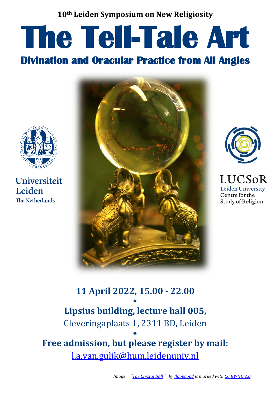### **10th Leiden Symposium on New Religiosity**

# **The Tell-Tale Art**<br>Divination and Oracular Practice from All Angles



**Universiteit** Leiden **The Netherlands** 





**LUCSoR** Leiden University Centre for the Study of Religion

# **11 April 2022, 15.00 - 22.00** ◆ **Lipsius building, lecture hall 005,** Cleveringaplaats 1, 2311 BD, Leiden ◆

**Free admission, but please register by mail:** [l.a.van.gulik@hum.leidenuniv.nl](mailto:l.a.van.gulik@hum.leidenuniv.nl)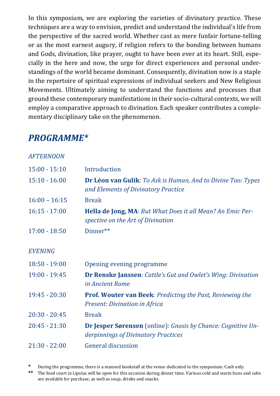In this symposium, we are exploring the varieties of divinatory practice. These techniques are a way to envision, predict and understand the individual's life from the perspective of the sacred world. Whether cast as mere funfair fortune-telling or as the most earnest augury, if religion refers to the bonding between humans and Gods, divination, like prayer, ought to have been ever at its heart. Still, especially in the here and now, the urge for direct experiences and personal understandings of the world became dominant. Consequently, divination now is a staple in the repertoire of spiritual expressions of individual seekers and New Religious Movements. Ultimately aiming to understand the functions and processes that ground these contemporary manifestations in their socio-cultural contexts, we will employ a comparative approach to divination. Each speaker contributes a complementary disciplinary take on the phenomenon.

# *PROGRAMME\**

*AFTERNOON*

| <i>AF I EKINUUIN</i> |                                                                                                            |
|----------------------|------------------------------------------------------------------------------------------------------------|
| $15:00 - 15:10$      | Introduction                                                                                               |
| $15:10 - 16:00$      | <b>Dr Léon van Gulik:</b> To Ask is Human, And to Divine Too: Types<br>and Elements of Divinatory Practice |
| $16:00 - 16:15$      | <b>Break</b>                                                                                               |
| $16:15 - 17:00$      | <b>Hella de Jong, MA:</b> But What Does it all Mean? An Emic Per-<br>spective on the Art of Divination     |
| $17:00 - 18:50$      | Dinner**                                                                                                   |
| <b>EVENING</b>       |                                                                                                            |
| $18:50 - 19:00$      | Opening evening programme                                                                                  |
| $19:00 - 19:45$      | <b>Dr Renske Janssen:</b> Cattle's Gut and Owlet's Wing: Divination<br>in Ancient Rome                     |
| $19:45 - 20:30$      | <b>Prof. Wouter van Beek:</b> Predicting the Past, Reviewing the<br>Present: Divination in Africa          |
| $20:30 - 20:45$      | <b>Break</b>                                                                                               |
| $20:45 - 21:30$      | <b>Dr Jesper Sørensen</b> (online): Gnosis by Chance: Cognitive Un-<br>derpinnings of Divinatory Practices |
| $21:30 - 22:00$      | <b>General discussion</b>                                                                                  |
|                      |                                                                                                            |

**\*** During the programme, there is a manned bookstall at the venue dedicated to the symposium. Cash only.

**\*\*** The food court in Lipsius will be open for this occasion during dinner time. Various cold and warm buns and subs are available for purchase, as well as soup, drinks and snacks.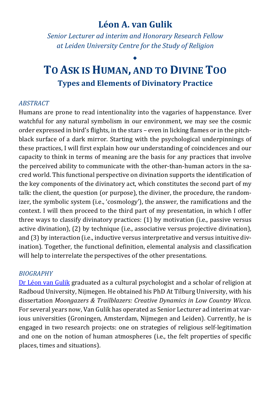# **Léon A. van Gulik**

*Senior Lecturer ad interim and Honorary Research Fellow at Leiden University Centre for the Study of Religion*

# ◆ **TO ASK IS HUMAN, AND TO DIVINE TOO Types and Elements of Divinatory Practice**

### *ABSTRACT*

Humans are prone to read intentionality into the vagaries of happenstance. Ever watchful for any natural symbolism in our environment, we may see the cosmic order expressed in bird's flights, in the stars – even in licking flames or in the pitchblack surface of a dark mirror. Starting with the psychological underpinnings of these practices, I will first explain how our understanding of coincidences and our capacity to think in terms of meaning are the basis for any practices that involve the perceived ability to communicate with the other-than-human actors in the sacred world. This functional perspective on divination supports the identification of the key components of the divinatory act, which constitutes the second part of my talk: the client, the question (or purpose), the diviner, the procedure, the randomizer, the symbolic system (i.e., 'cosmology'), the answer, the ramifications and the context. I will then proceed to the third part of my presentation, in which I offer three ways to classify divinatory practices: (1) by motivation (i.e., passive versus active divination), (2) by technique (i.e., associative versus projective divination), and (3) by interaction (i.e., inductive versus interpretative and versus intuitive divination). Together, the functional definition, elemental analysis and classification will help to interrelate the perspectives of the other presentations.

### *BIOGRAPHY*

[Dr Léon van Gulik](https://leonvangulik.academia.edu/) graduated as a cultural psychologist and a scholar of religion at Radboud University, Nijmegen. He obtained his PhD At Tilburg University, with his dissertation *Moongazers & Trailblazers: Creative Dynamics in Low Country Wicca*. For several years now, Van Gulik has operated as Senior Lecturer ad interim at various universities (Groningen, Amsterdam, Nijmegen and Leiden). Currently, he is engaged in two research projects: one on strategies of religious self-legitimation and one on the notion of human atmospheres (i.e., the felt properties of specific places, times and situations).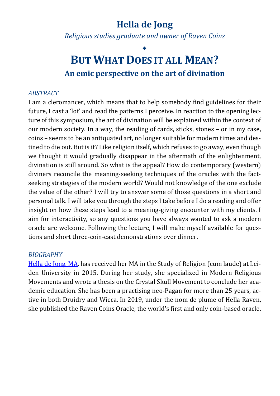# **Hella de Jong**

*Religious studies graduate and owner of Raven Coins* 

# ◆ **BUT WHAT DOES IT ALL MEAN? An emic perspective on the art of divination**

### *ABSTRACT*

I am a cleromancer, which means that to help somebody find guidelines for their future, I cast a 'lot' and read the patterns I perceive. In reaction to the opening lecture of this symposium, the art of divination will be explained within the context of our modern society. In a way, the reading of cards, sticks, stones – or in my case, coins – seems to be an antiquated art, no longer suitable for modern times and destined to die out. But is it? Like religion itself, which refuses to go away, even though we thought it would gradually disappear in the aftermath of the enlightenment, divination is still around. So what is the appeal? How do contemporary (western) diviners reconcile the meaning-seeking techniques of the oracles with the factseeking strategies of the modern world? Would not knowledge of the one exclude the value of the other? I will try to answer some of those questions in a short and personal talk. I will take you through the steps I take before I do a reading and offer insight on how these steps lead to a meaning-giving encounter with my clients. I aim for interactivity, so any questions you have always wanted to ask a modern oracle are welcome. Following the lecture, I will make myself available for questions and short three-coin-cast demonstrations over dinner.

### *BIOGRAPHY*

[Hella de Jong, MA,](https://www.ravencoins.com/) has received her MA in the Study of Religion (cum laude) at Leiden University in 2015. During her study, she specialized in Modern Religious Movements and wrote a thesis on the Crystal Skull Movement to conclude her academic education. She has been a practising neo-Pagan for more than 25 years, active in both Druidry and Wicca. In 2019, under the nom de plume of Hella Raven, she published the Raven Coins Oracle, the world's first and only coin-based oracle.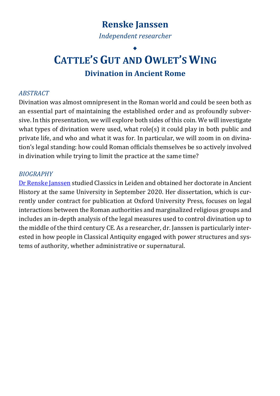# **Renske Janssen** *Independent researcher*

# ◆ **CATTLE'S GUT AND OWLET'S WING Divination in Ancient Rome**

### *ABSTRACT*

Divination was almost omnipresent in the Roman world and could be seen both as an essential part of maintaining the established order and as profoundly subversive. In this presentation, we will explore both sides of this coin. We will investigate what types of divination were used, what role(s) it could play in both public and private life, and who and what it was for. In particular, we will zoom in on divination's legal standing: how could Roman officials themselves be so actively involved in divination while trying to limit the practice at the same time?

### *BIOGRAPHY*

Dr [Renske Janssen](https://www.linkedin.com/in/renske-janssen/?originalSubdomain=nl) studied Classics in Leiden and obtained her doctorate in Ancient History at the same University in September 2020. Her dissertation, which is currently under contract for publication at Oxford University Press, focuses on legal interactions between the Roman authorities and marginalized religious groups and includes an in-depth analysis of the legal measures used to control divination up to the middle of the third century CE. As a researcher, dr. Janssen is particularly interested in how people in Classical Antiquity engaged with power structures and systems of authority, whether administrative or supernatural.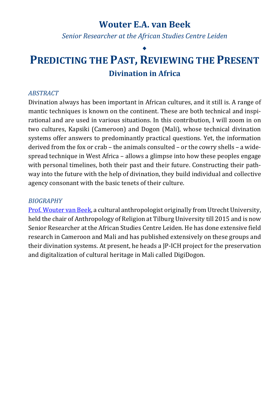# **Wouter E.A. van Beek**

*Senior Researcher at the African Studies Centre Leiden* 

# ◆ **PREDICTING THE PAST, REVIEWING THE PRESENT Divination in Africa**

### *ABSTRACT*

Divination always has been important in African cultures, and it still is. A range of mantic techniques is known on the continent. These are both technical and inspirational and are used in various situations. In this contribution, I will zoom in on two cultures, Kapsiki (Cameroon) and Dogon (Mali), whose technical divination systems offer answers to predominantly practical questions. Yet, the information derived from the fox or crab – the animals consulted – or the cowry shells – a widespread technique in West Africa – allows a glimpse into how these peoples engage with personal timelines, both their past and their future. Constructing their pathway into the future with the help of divination, they build individual and collective agency consonant with the basic tenets of their culture.

### *BIOGRAPHY*

[Prof. Wouter van Beek,](https://www.ascleiden.nl/organization/people/wouter-van-beek) a cultural anthropologist originally from Utrecht University, held the chair of Anthropology of Religion at Tilburg University till 2015 and is now Senior Researcher at the African Studies Centre Leiden. He has done extensive field research in Cameroon and Mali and has published extensively on these groups and their divination systems. At present, he heads a JP-ICH project for the preservation and digitalization of cultural heritage in Mali called DigiDogon.